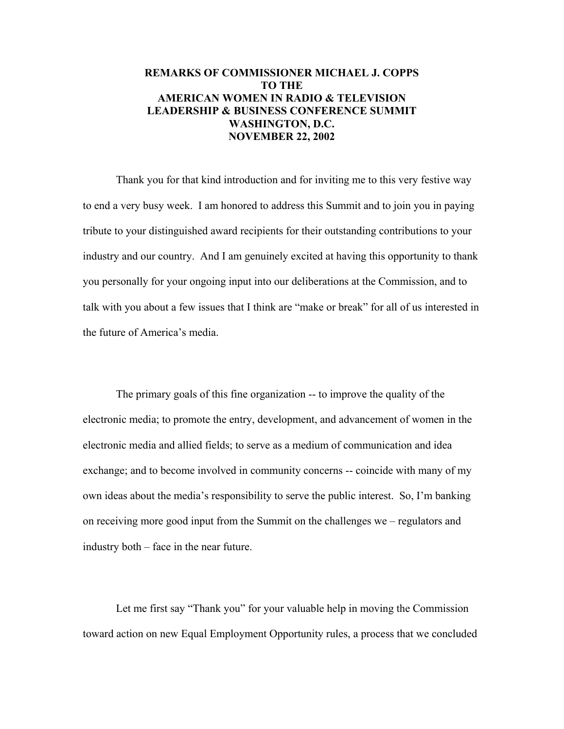## **REMARKS OF COMMISSIONER MICHAEL J. COPPS TO THE AMERICAN WOMEN IN RADIO & TELEVISION LEADERSHIP & BUSINESS CONFERENCE SUMMIT WASHINGTON, D.C. NOVEMBER 22, 2002**

Thank you for that kind introduction and for inviting me to this very festive way to end a very busy week. I am honored to address this Summit and to join you in paying tribute to your distinguished award recipients for their outstanding contributions to your industry and our country. And I am genuinely excited at having this opportunity to thank you personally for your ongoing input into our deliberations at the Commission, and to talk with you about a few issues that I think are "make or break" for all of us interested in the future of America's media.

The primary goals of this fine organization -- to improve the quality of the electronic media; to promote the entry, development, and advancement of women in the electronic media and allied fields; to serve as a medium of communication and idea exchange; and to become involved in community concerns -- coincide with many of my own ideas about the media's responsibility to serve the public interest. So, I'm banking on receiving more good input from the Summit on the challenges we – regulators and industry both – face in the near future.

Let me first say "Thank you" for your valuable help in moving the Commission toward action on new Equal Employment Opportunity rules, a process that we concluded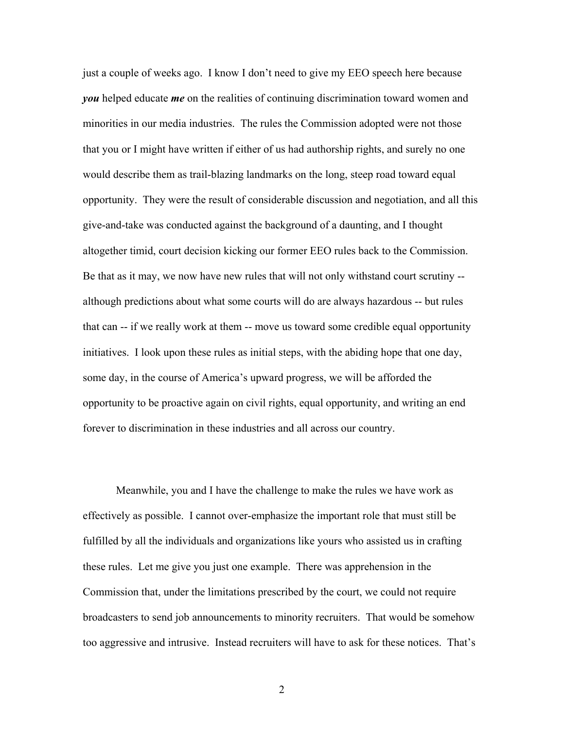just a couple of weeks ago. I know I don't need to give my EEO speech here because *you* helped educate *me* on the realities of continuing discrimination toward women and minorities in our media industries. The rules the Commission adopted were not those that you or I might have written if either of us had authorship rights, and surely no one would describe them as trail-blazing landmarks on the long, steep road toward equal opportunity. They were the result of considerable discussion and negotiation, and all this give-and-take was conducted against the background of a daunting, and I thought altogether timid, court decision kicking our former EEO rules back to the Commission. Be that as it may, we now have new rules that will not only withstand court scrutiny - although predictions about what some courts will do are always hazardous -- but rules that can -- if we really work at them -- move us toward some credible equal opportunity initiatives. I look upon these rules as initial steps, with the abiding hope that one day, some day, in the course of America's upward progress, we will be afforded the opportunity to be proactive again on civil rights, equal opportunity, and writing an end forever to discrimination in these industries and all across our country.

Meanwhile, you and I have the challenge to make the rules we have work as effectively as possible. I cannot over-emphasize the important role that must still be fulfilled by all the individuals and organizations like yours who assisted us in crafting these rules. Let me give you just one example. There was apprehension in the Commission that, under the limitations prescribed by the court, we could not require broadcasters to send job announcements to minority recruiters. That would be somehow too aggressive and intrusive. Instead recruiters will have to ask for these notices. That's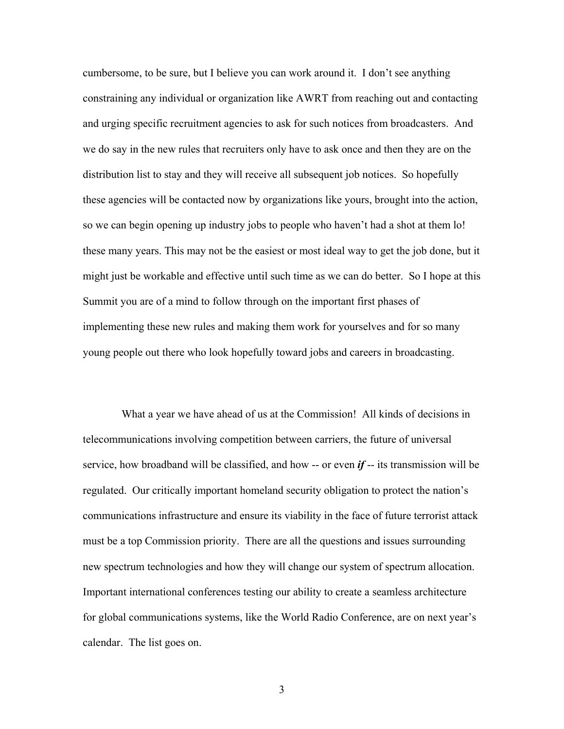cumbersome, to be sure, but I believe you can work around it. I don't see anything constraining any individual or organization like AWRT from reaching out and contacting and urging specific recruitment agencies to ask for such notices from broadcasters. And we do say in the new rules that recruiters only have to ask once and then they are on the distribution list to stay and they will receive all subsequent job notices. So hopefully these agencies will be contacted now by organizations like yours, brought into the action, so we can begin opening up industry jobs to people who haven't had a shot at them lo! these many years. This may not be the easiest or most ideal way to get the job done, but it might just be workable and effective until such time as we can do better. So I hope at this Summit you are of a mind to follow through on the important first phases of implementing these new rules and making them work for yourselves and for so many young people out there who look hopefully toward jobs and careers in broadcasting.

 What a year we have ahead of us at the Commission! All kinds of decisions in telecommunications involving competition between carriers, the future of universal service, how broadband will be classified, and how -- or even *if* -- its transmission will be regulated. Our critically important homeland security obligation to protect the nation's communications infrastructure and ensure its viability in the face of future terrorist attack must be a top Commission priority. There are all the questions and issues surrounding new spectrum technologies and how they will change our system of spectrum allocation. Important international conferences testing our ability to create a seamless architecture for global communications systems, like the World Radio Conference, are on next year's calendar. The list goes on.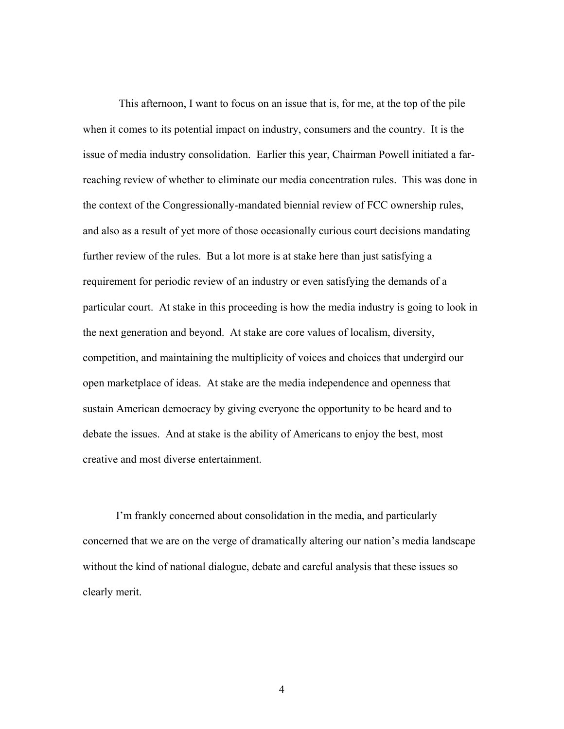This afternoon, I want to focus on an issue that is, for me, at the top of the pile when it comes to its potential impact on industry, consumers and the country. It is the issue of media industry consolidation. Earlier this year, Chairman Powell initiated a farreaching review of whether to eliminate our media concentration rules. This was done in the context of the Congressionally-mandated biennial review of FCC ownership rules, and also as a result of yet more of those occasionally curious court decisions mandating further review of the rules. But a lot more is at stake here than just satisfying a requirement for periodic review of an industry or even satisfying the demands of a particular court. At stake in this proceeding is how the media industry is going to look in the next generation and beyond. At stake are core values of localism, diversity, competition, and maintaining the multiplicity of voices and choices that undergird our open marketplace of ideas. At stake are the media independence and openness that sustain American democracy by giving everyone the opportunity to be heard and to debate the issues. And at stake is the ability of Americans to enjoy the best, most creative and most diverse entertainment.

 I'm frankly concerned about consolidation in the media, and particularly concerned that we are on the verge of dramatically altering our nation's media landscape without the kind of national dialogue, debate and careful analysis that these issues so clearly merit.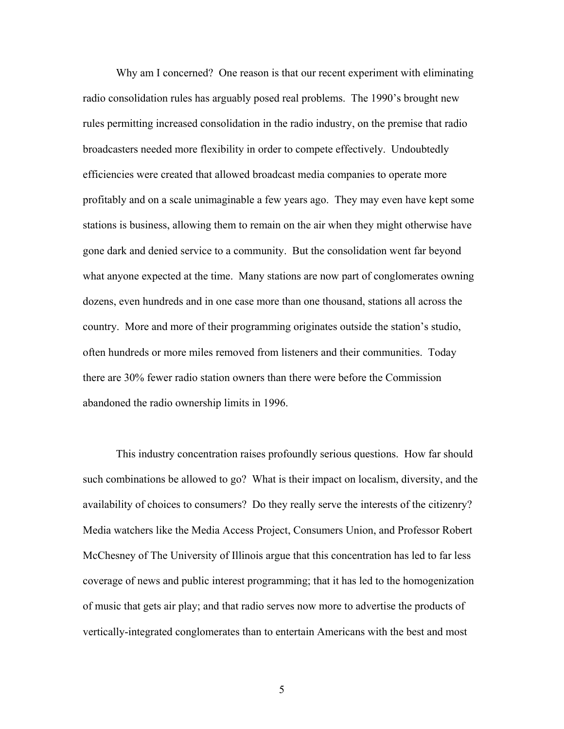Why am I concerned? One reason is that our recent experiment with eliminating radio consolidation rules has arguably posed real problems. The 1990's brought new rules permitting increased consolidation in the radio industry, on the premise that radio broadcasters needed more flexibility in order to compete effectively. Undoubtedly efficiencies were created that allowed broadcast media companies to operate more profitably and on a scale unimaginable a few years ago. They may even have kept some stations is business, allowing them to remain on the air when they might otherwise have gone dark and denied service to a community. But the consolidation went far beyond what anyone expected at the time. Many stations are now part of conglomerates owning dozens, even hundreds and in one case more than one thousand, stations all across the country. More and more of their programming originates outside the station's studio, often hundreds or more miles removed from listeners and their communities. Today there are 30% fewer radio station owners than there were before the Commission abandoned the radio ownership limits in 1996.

This industry concentration raises profoundly serious questions. How far should such combinations be allowed to go? What is their impact on localism, diversity, and the availability of choices to consumers? Do they really serve the interests of the citizenry? Media watchers like the Media Access Project, Consumers Union, and Professor Robert McChesney of The University of Illinois argue that this concentration has led to far less coverage of news and public interest programming; that it has led to the homogenization of music that gets air play; and that radio serves now more to advertise the products of vertically-integrated conglomerates than to entertain Americans with the best and most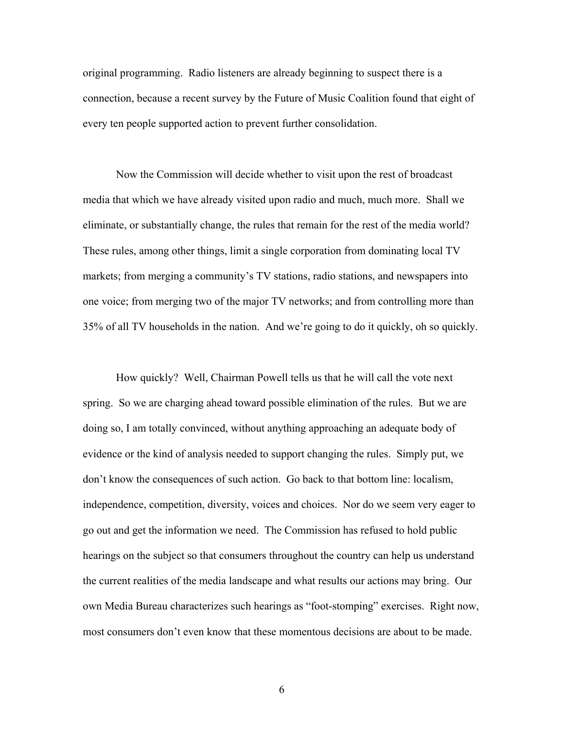original programming. Radio listeners are already beginning to suspect there is a connection, because a recent survey by the Future of Music Coalition found that eight of every ten people supported action to prevent further consolidation.

Now the Commission will decide whether to visit upon the rest of broadcast media that which we have already visited upon radio and much, much more. Shall we eliminate, or substantially change, the rules that remain for the rest of the media world? These rules, among other things, limit a single corporation from dominating local TV markets; from merging a community's TV stations, radio stations, and newspapers into one voice; from merging two of the major TV networks; and from controlling more than 35% of all TV households in the nation. And we're going to do it quickly, oh so quickly.

How quickly? Well, Chairman Powell tells us that he will call the vote next spring. So we are charging ahead toward possible elimination of the rules. But we are doing so, I am totally convinced, without anything approaching an adequate body of evidence or the kind of analysis needed to support changing the rules. Simply put, we don't know the consequences of such action. Go back to that bottom line: localism, independence, competition, diversity, voices and choices. Nor do we seem very eager to go out and get the information we need. The Commission has refused to hold public hearings on the subject so that consumers throughout the country can help us understand the current realities of the media landscape and what results our actions may bring. Our own Media Bureau characterizes such hearings as "foot-stomping" exercises. Right now, most consumers don't even know that these momentous decisions are about to be made.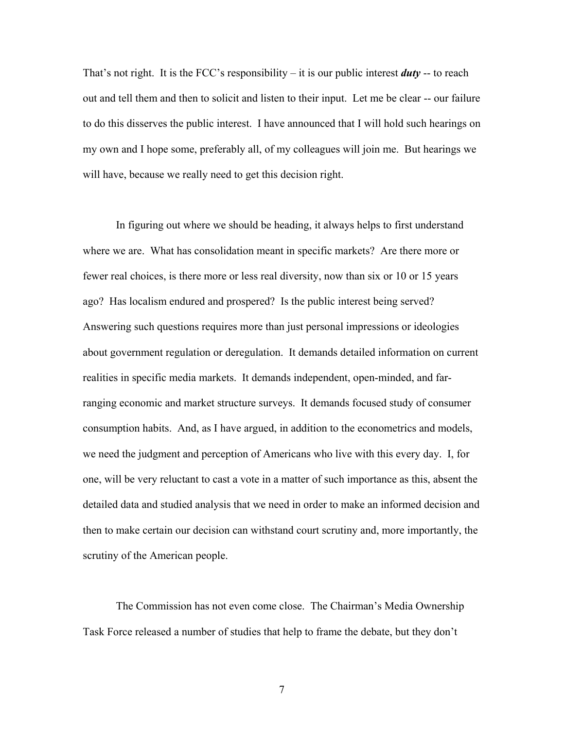That's not right. It is the FCC's responsibility – it is our public interest *duty* -- to reach out and tell them and then to solicit and listen to their input. Let me be clear -- our failure to do this disserves the public interest. I have announced that I will hold such hearings on my own and I hope some, preferably all, of my colleagues will join me. But hearings we will have, because we really need to get this decision right.

In figuring out where we should be heading, it always helps to first understand where we are. What has consolidation meant in specific markets? Are there more or fewer real choices, is there more or less real diversity, now than six or 10 or 15 years ago? Has localism endured and prospered? Is the public interest being served? Answering such questions requires more than just personal impressions or ideologies about government regulation or deregulation. It demands detailed information on current realities in specific media markets. It demands independent, open-minded, and farranging economic and market structure surveys. It demands focused study of consumer consumption habits. And, as I have argued, in addition to the econometrics and models, we need the judgment and perception of Americans who live with this every day. I, for one, will be very reluctant to cast a vote in a matter of such importance as this, absent the detailed data and studied analysis that we need in order to make an informed decision and then to make certain our decision can withstand court scrutiny and, more importantly, the scrutiny of the American people.

The Commission has not even come close. The Chairman's Media Ownership Task Force released a number of studies that help to frame the debate, but they don't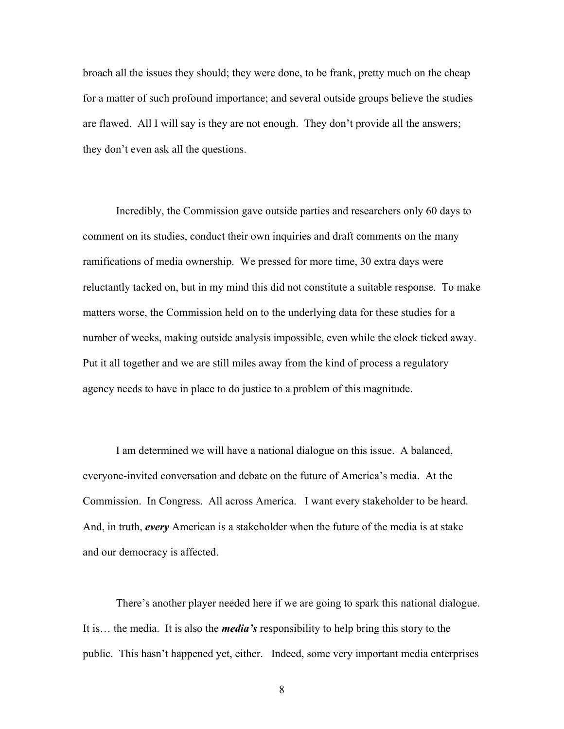broach all the issues they should; they were done, to be frank, pretty much on the cheap for a matter of such profound importance; and several outside groups believe the studies are flawed. All I will say is they are not enough. They don't provide all the answers; they don't even ask all the questions.

Incredibly, the Commission gave outside parties and researchers only 60 days to comment on its studies, conduct their own inquiries and draft comments on the many ramifications of media ownership. We pressed for more time, 30 extra days were reluctantly tacked on, but in my mind this did not constitute a suitable response. To make matters worse, the Commission held on to the underlying data for these studies for a number of weeks, making outside analysis impossible, even while the clock ticked away. Put it all together and we are still miles away from the kind of process a regulatory agency needs to have in place to do justice to a problem of this magnitude.

I am determined we will have a national dialogue on this issue. A balanced, everyone-invited conversation and debate on the future of America's media. At the Commission. In Congress. All across America.I want every stakeholder to be heard. And, in truth, *every* American is a stakeholder when the future of the media is at stake and our democracy is affected.

There's another player needed here if we are going to spark this national dialogue. It is… the media. It is also the *media's* responsibility to help bring this story to the public. This hasn't happened yet, either. Indeed, some very important media enterprises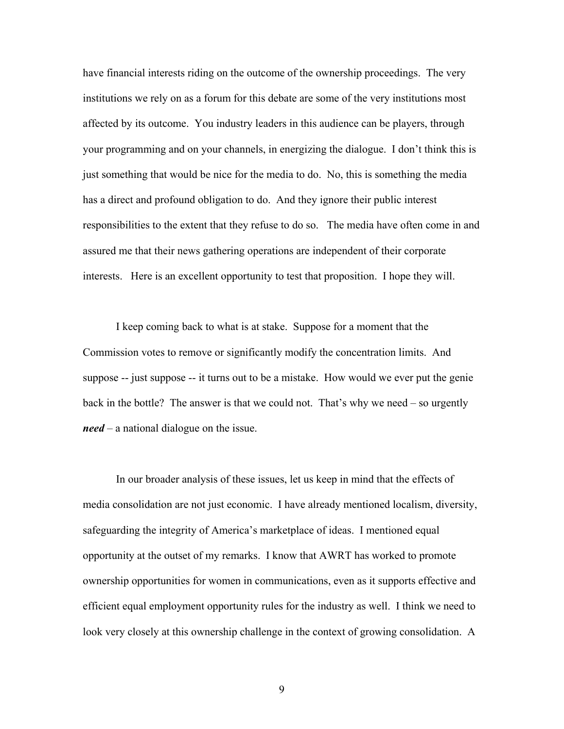have financial interests riding on the outcome of the ownership proceedings. The very institutions we rely on as a forum for this debate are some of the very institutions most affected by its outcome. You industry leaders in this audience can be players, through your programming and on your channels, in energizing the dialogue. I don't think this is just something that would be nice for the media to do. No, this is something the media has a direct and profound obligation to do. And they ignore their public interest responsibilities to the extent that they refuse to do so. The media have often come in and assured me that their news gathering operations are independent of their corporate interests. Here is an excellent opportunity to test that proposition. I hope they will.

I keep coming back to what is at stake. Suppose for a moment that the Commission votes to remove or significantly modify the concentration limits. And suppose -- just suppose -- it turns out to be a mistake. How would we ever put the genie back in the bottle? The answer is that we could not. That's why we need – so urgently *need* – a national dialogue on the issue.

In our broader analysis of these issues, let us keep in mind that the effects of media consolidation are not just economic. I have already mentioned localism, diversity, safeguarding the integrity of America's marketplace of ideas. I mentioned equal opportunity at the outset of my remarks. I know that AWRT has worked to promote ownership opportunities for women in communications, even as it supports effective and efficient equal employment opportunity rules for the industry as well. I think we need to look very closely at this ownership challenge in the context of growing consolidation. A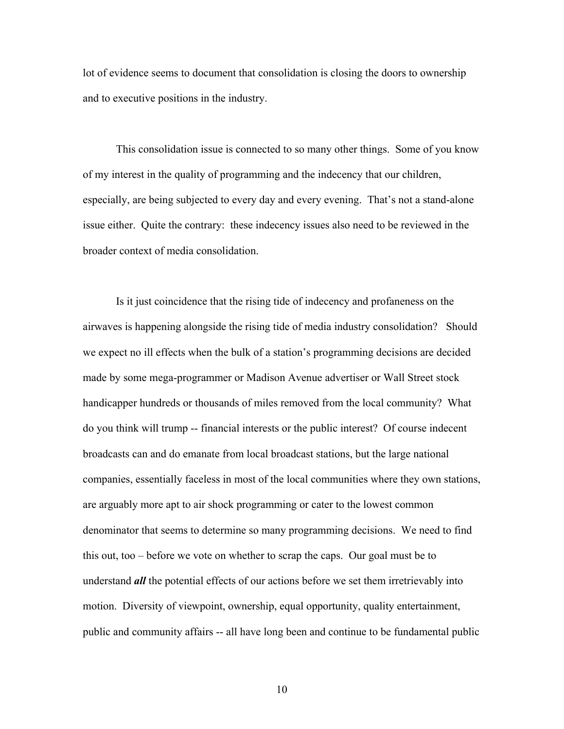lot of evidence seems to document that consolidation is closing the doors to ownership and to executive positions in the industry.

This consolidation issue is connected to so many other things. Some of you know of my interest in the quality of programming and the indecency that our children, especially, are being subjected to every day and every evening. That's not a stand-alone issue either. Quite the contrary: these indecency issues also need to be reviewed in the broader context of media consolidation.

Is it just coincidence that the rising tide of indecency and profaneness on the airwaves is happening alongside the rising tide of media industry consolidation? Should we expect no ill effects when the bulk of a station's programming decisions are decided made by some mega-programmer or Madison Avenue advertiser or Wall Street stock handicapper hundreds or thousands of miles removed from the local community? What do you think will trump -- financial interests or the public interest? Of course indecent broadcasts can and do emanate from local broadcast stations, but the large national companies, essentially faceless in most of the local communities where they own stations, are arguably more apt to air shock programming or cater to the lowest common denominator that seems to determine so many programming decisions. We need to find this out, too – before we vote on whether to scrap the caps. Our goal must be to understand *all* the potential effects of our actions before we set them irretrievably into motion. Diversity of viewpoint, ownership, equal opportunity, quality entertainment, public and community affairs -- all have long been and continue to be fundamental public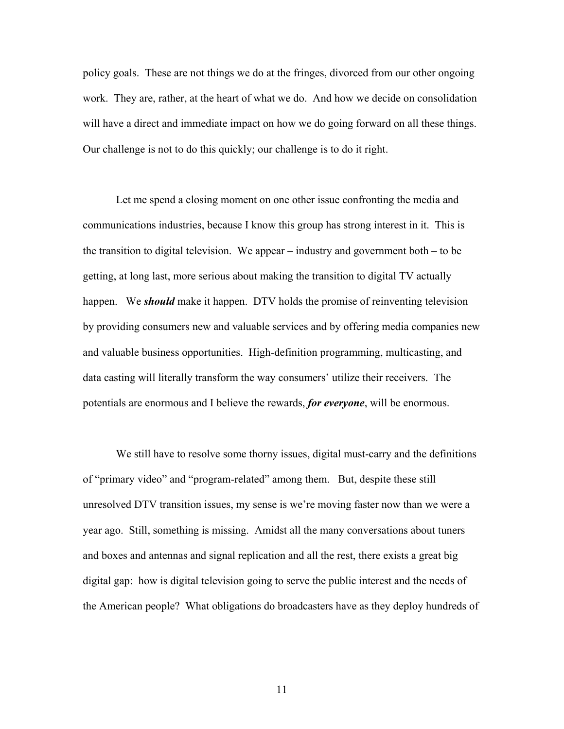policy goals. These are not things we do at the fringes, divorced from our other ongoing work. They are, rather, at the heart of what we do. And how we decide on consolidation will have a direct and immediate impact on how we do going forward on all these things. Our challenge is not to do this quickly; our challenge is to do it right.

Let me spend a closing moment on one other issue confronting the media and communications industries, because I know this group has strong interest in it. This is the transition to digital television. We appear  $-$  industry and government both  $-$  to be getting, at long last, more serious about making the transition to digital TV actually happen. We *should* make it happen. DTV holds the promise of reinventing television by providing consumers new and valuable services and by offering media companies new and valuable business opportunities. High-definition programming, multicasting, and data casting will literally transform the way consumers' utilize their receivers. The potentials are enormous and I believe the rewards, *for everyone*, will be enormous.

We still have to resolve some thorny issues, digital must-carry and the definitions of "primary video" and "program-related" among them. But, despite these still unresolved DTV transition issues, my sense is we're moving faster now than we were a year ago. Still, something is missing. Amidst all the many conversations about tuners and boxes and antennas and signal replication and all the rest, there exists a great big digital gap: how is digital television going to serve the public interest and the needs of the American people? What obligations do broadcasters have as they deploy hundreds of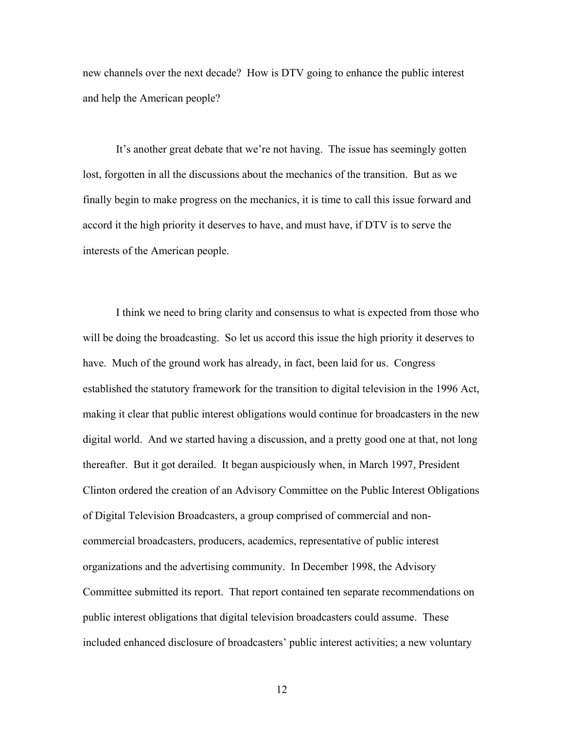new channels over the next decade? How is DTV going to enhance the public interest and help the American people?

It's another great debate that we're not having. The issue has seemingly gotten lost, forgotten in all the discussions about the mechanics of the transition. But as we finally begin to make progress on the mechanics, it is time to call this issue forward and accord it the high priority it deserves to have, and must have, if DTV is to serve the interests of the American people.

I think we need to bring clarity and consensus to what is expected from those who will be doing the broadcasting. So let us accord this issue the high priority it deserves to have. Much of the ground work has already, in fact, been laid for us. Congress established the statutory framework for the transition to digital television in the 1996 Act, making it clear that public interest obligations would continue for broadcasters in the new digital world. And we started having a discussion, and a pretty good one at that, not long thereafter. But it got derailed. It began auspiciously when, in March 1997, President Clinton ordered the creation of an Advisory Committee on the Public Interest Obligations of Digital Television Broadcasters, a group comprised of commercial and noncommercial broadcasters, producers, academics, representative of public interest organizations and the advertising community. In December 1998, the Advisory Committee submitted its report. That report contained ten separate recommendations on public interest obligations that digital television broadcasters could assume. These included enhanced disclosure of broadcasters' public interest activities; a new voluntary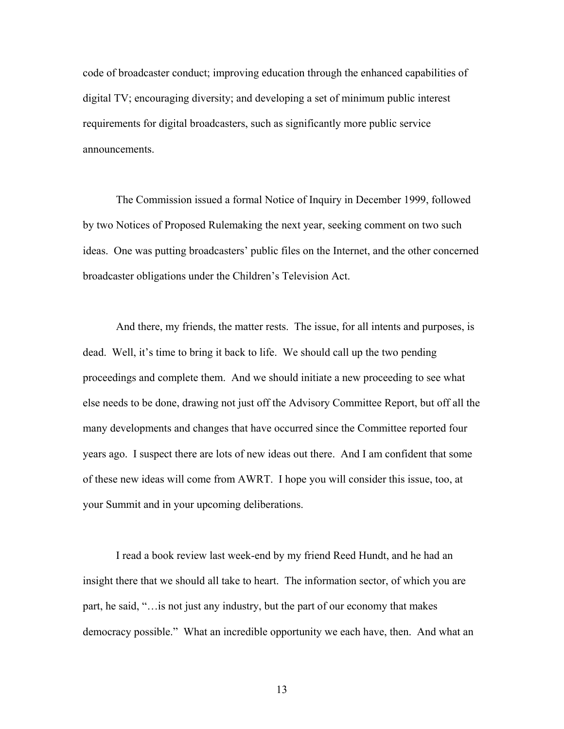code of broadcaster conduct; improving education through the enhanced capabilities of digital TV; encouraging diversity; and developing a set of minimum public interest requirements for digital broadcasters, such as significantly more public service announcements.

The Commission issued a formal Notice of Inquiry in December 1999, followed by two Notices of Proposed Rulemaking the next year, seeking comment on two such ideas. One was putting broadcasters' public files on the Internet, and the other concerned broadcaster obligations under the Children's Television Act.

And there, my friends, the matter rests. The issue, for all intents and purposes, is dead. Well, it's time to bring it back to life. We should call up the two pending proceedings and complete them. And we should initiate a new proceeding to see what else needs to be done, drawing not just off the Advisory Committee Report, but off all the many developments and changes that have occurred since the Committee reported four years ago. I suspect there are lots of new ideas out there. And I am confident that some of these new ideas will come from AWRT. I hope you will consider this issue, too, at your Summit and in your upcoming deliberations.

I read a book review last week-end by my friend Reed Hundt, and he had an insight there that we should all take to heart. The information sector, of which you are part, he said, "…is not just any industry, but the part of our economy that makes democracy possible." What an incredible opportunity we each have, then. And what an